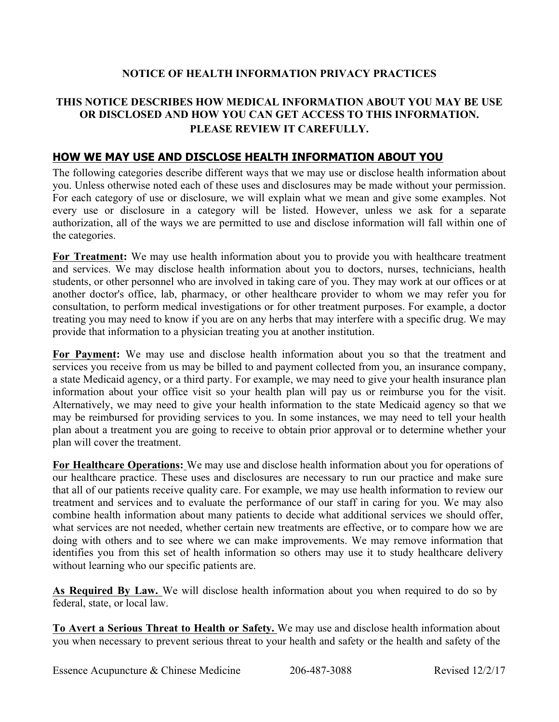# **NOTICE OF HEALTH INFORMATION PRIVACY PRACTICES**

### **THIS NOTICE DESCRIBES HOW MEDICAL INFORMATION ABOUT YOU MAY BE USE OR DISCLOSED AND HOW YOU CAN GET ACCESS TO THIS INFORMATION. PLEASE REVIEW IT CAREFULLY.**

### **HOW WE MAY USE AND DISCLOSE HEALTH INFORMATION ABOUT YOU**

The following categories describe different ways that we may use or disclose health information about you. Unless otherwise noted each of these uses and disclosures may be made without your permission. For each category of use or disclosure, we will explain what we mean and give some examples. Not every use or disclosure in a category will be listed. However, unless we ask for a separate authorization, all of the ways we are permitted to use and disclose information will fall within one of the categories.

For Treatment: We may use health information about you to provide you with healthcare treatment and services. We may disclose health information about you to doctors, nurses, technicians, health students, or other personnel who are involved in taking care of you. They may work at our offices or at another doctor's office, lab, pharmacy, or other healthcare provider to whom we may refer you for consultation, to perform medical investigations or for other treatment purposes. For example, a doctor treating you may need to know if you are on any herbs that may interfere with a specific drug. We may provide that information to a physician treating you at another institution.

**For Payment:** We may use and disclose health information about you so that the treatment and services you receive from us may be billed to and payment collected from you, an insurance company, a state Medicaid agency, or a third party. For example, we may need to give your health insurance plan information about your office visit so your health plan will pay us or reimburse you for the visit. Alternatively, we may need to give your health information to the state Medicaid agency so that we may be reimbursed for providing services to you. In some instances, we may need to tell your health plan about a treatment you are going to receive to obtain prior approval or to determine whether your plan will cover the treatment.

**For Healthcare Operations:** We may use and disclose health information about you for operations of our healthcare practice. These uses and disclosures are necessary to run our practice and make sure that all of our patients receive quality care. For example, we may use health information to review our treatment and services and to evaluate the performance of our staff in caring for you. We may also combine health information about many patients to decide what additional services we should offer, what services are not needed, whether certain new treatments are effective, or to compare how we are doing with others and to see where we can make improvements. We may remove information that identifies you from this set of health information so others may use it to study healthcare delivery without learning who our specific patients are.

**As Required By Law.** We will disclose health information about you when required to do so by federal, state, or local law.

**To Avert a Serious Threat to Health or Safety.** We may use and disclose health information about you when necessary to prevent serious threat to your health and safety or the health and safety of the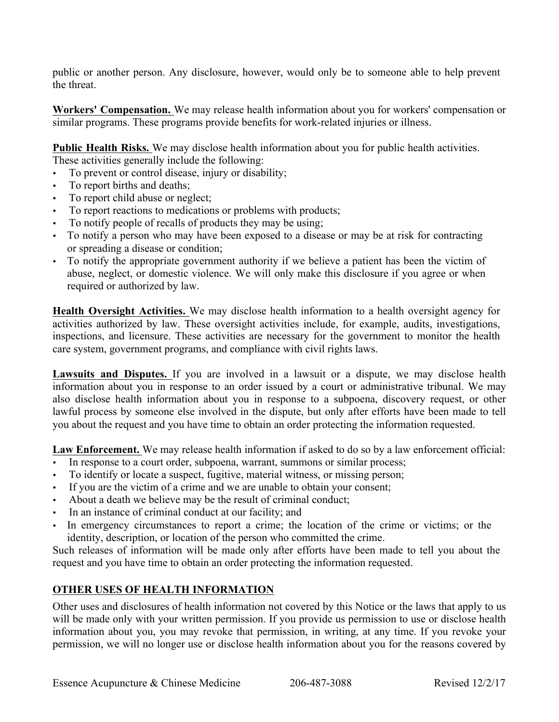public or another person. Any disclosure, however, would only be to someone able to help prevent the threat.

**Workers' Compensation.** We may release health information about you for workers' compensation or similar programs. These programs provide benefits for work-related injuries or illness.

**Public Health Risks.** We may disclose health information about you for public health activities. These activities generally include the following:

- To prevent or control disease, injury or disability;
- To report births and deaths;<br>• To report child abuse or neo
- To report child abuse or neglect;
- To report reactions to medications or problems with products;
- To notify people of recalls of products they may be using;
- To notify a person who may have been exposed to a disease or may be at risk for contracting or spreading a disease or condition;
- To notify the appropriate government authority if we believe a patient has been the victim of abuse, neglect, or domestic violence. We will only make this disclosure if you agree or when required or authorized by law.

**Health Oversight Activities.** We may disclose health information to a health oversight agency for activities authorized by law. These oversight activities include, for example, audits, investigations, inspections, and licensure. These activities are necessary for the government to monitor the health care system, government programs, and compliance with civil rights laws.

**Lawsuits and Disputes.** If you are involved in a lawsuit or a dispute, we may disclose health information about you in response to an order issued by a court or administrative tribunal. We may also disclose health information about you in response to a subpoena, discovery request, or other lawful process by someone else involved in the dispute, but only after efforts have been made to tell you about the request and you have time to obtain an order protecting the information requested.

**Law Enforcement.** We may release health information if asked to do so by a law enforcement official:

- In response to a court order, subpoena, warrant, summons or similar process;
- To identify or locate a suspect, fugitive, material witness, or missing person;
- If you are the victim of a crime and we are unable to obtain your consent;
- About a death we believe may be the result of criminal conduct;
- In an instance of criminal conduct at our facility; and
- In emergency circumstances to report a crime; the location of the crime or victims; or the identity, description, or location of the person who committed the crime.

Such releases of information will be made only after efforts have been made to tell you about the request and you have time to obtain an order protecting the information requested.

# **OTHER USES OF HEALTH INFORMATION**

Other uses and disclosures of health information not covered by this Notice or the laws that apply to us will be made only with your written permission. If you provide us permission to use or disclose health information about you, you may revoke that permission, in writing, at any time. If you revoke your permission, we will no longer use or disclose health information about you for the reasons covered by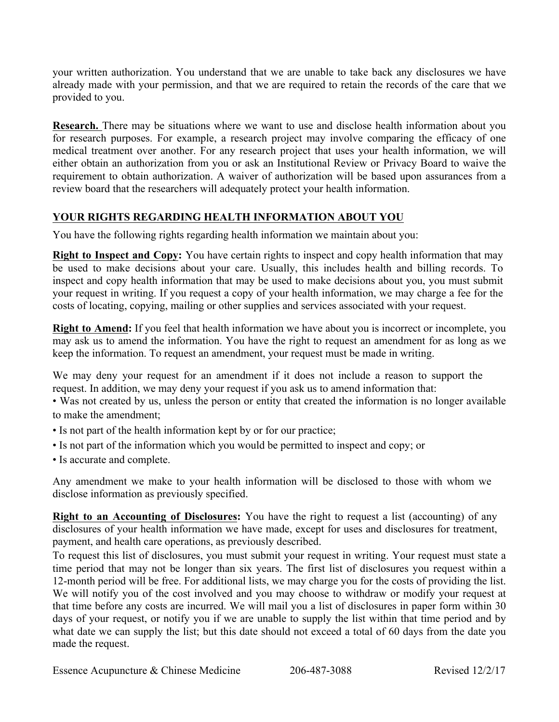your written authorization. You understand that we are unable to take back any disclosures we have already made with your permission, and that we are required to retain the records of the care that we provided to you.

**Research.** There may be situations where we want to use and disclose health information about you for research purposes. For example, a research project may involve comparing the efficacy of one medical treatment over another. For any research project that uses your health information, we will either obtain an authorization from you or ask an Institutional Review or Privacy Board to waive the requirement to obtain authorization. A waiver of authorization will be based upon assurances from a review board that the researchers will adequately protect your health information.

# **YOUR RIGHTS REGARDING HEALTH INFORMATION ABOUT YOU**

You have the following rights regarding health information we maintain about you:

**Right to Inspect and Copy:** You have certain rights to inspect and copy health information that may be used to make decisions about your care. Usually, this includes health and billing records. To inspect and copy health information that may be used to make decisions about you, you must submit your request in writing. If you request a copy of your health information, we may charge a fee for the costs of locating, copying, mailing or other supplies and services associated with your request.

**Right to Amend:** If you feel that health information we have about you is incorrect or incomplete, you may ask us to amend the information. You have the right to request an amendment for as long as we keep the information. To request an amendment, your request must be made in writing.

We may deny your request for an amendment if it does not include a reason to support the request. In addition, we may deny your request if you ask us to amend information that:

• Was not created by us, unless the person or entity that created the information is no longer available to make the amendment;

- Is not part of the health information kept by or for our practice;
- Is not part of the information which you would be permitted to inspect and copy; or
- Is accurate and complete.

Any amendment we make to your health information will be disclosed to those with whom we disclose information as previously specified.

**Right to an Accounting of Disclosures:** You have the right to request a list (accounting) of any disclosures of your health information we have made, except for uses and disclosures for treatment, payment, and health care operations, as previously described.

To request this list of disclosures, you must submit your request in writing. Your request must state a time period that may not be longer than six years. The first list of disclosures you request within a 12-month period will be free. For additional lists, we may charge you for the costs of providing the list. We will notify you of the cost involved and you may choose to withdraw or modify your request at that time before any costs are incurred. We will mail you a list of disclosures in paper form within 30 days of your request, or notify you if we are unable to supply the list within that time period and by what date we can supply the list; but this date should not exceed a total of 60 days from the date you made the request.